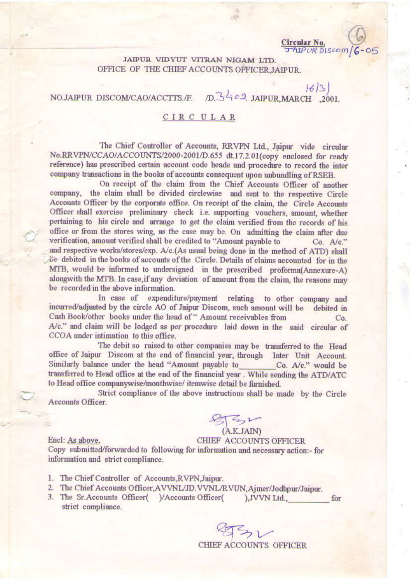Circular No. JAIPUR DISCOM

 $16/3$ 

JAIPUR VIDYUT VITRAN NIGAM LTD. OFFICE OF THE CHIEF ACCOUNTS OFFICER JAIPUR.

## D. 3402 JAIPUR, MARCH , 2001. NO.JAIPUR DISCOM/CAO/ACCTTS./F.

## CIRCULAR

The Chief Controller of Accounts, RRVPN Ltd., Jaipur vide circular No.RRVPN/CCAO/ACCOUNTS/2000-2001/D.655 dt.17.2.01(copy enclosed for ready reference) has prescribed certain account code heads and procedure to record the inter company transactions in the books of accounts consequent upon unbundling of RSEB.

On receipt of the claim from the Chief Accounts Officer of another company, the claim shall be divided circlewise and sent to the respective Circle Accounts Officer by the corporate office. On receipt of the claim, the Circle Accounts Officer shall exercise preliminary check i.e. supporting vouchers, amount, whether pertaining to his circle and arrange to get the claim verified from the records of his. office or from the stores wing, as the case may be. On admitting the claim after due verification, amount verified shall be credited to "Amount payable to  $Co.$   $A/c.$ " and respective works/stores/exp. A/c.(As usual being done in the method of ATD) shall be debited in the books of accounts of the Circle. Details of claims accounted for in the MTB, would be informed to undersigned in the prescribed proforma(Annexure-A) alongwith the MTB. In case, if any deviation of amount from the claim, the reasons may be recorded in the above information.

In case of expenditure/payment relating to other company and incurred/adjusted by the circle AO of Jaipur Discom, such amount will be debited in Cash Book/other books under the head of " Amount receivables from  $Co.$ A/c." and claim will be lodged as per procedure laid down in the said circular of CCOA under intimation to this office.

The debit so raised to other companies may be transferred to the Head office of Jaipur Discom at the end of financial year, through Inter Unit Account. Similarly balance under the head "Amount payable to Co. A/c." would be transferred to Head office at the end of the financial year. While sending the ATD/ATC to Head office companywise/monthwise/itemwise detail be furnished.

Strict compliance of the above instructions shall be made by the Circle Accounts Officer.

(A.K.JAIN)

CHIEF ACCOUNTS OFFICER Encl: As above. Copy submitted/forwarded to following for information and necessary action:- for information and strict compliance.

- 1. The Chief Controller of Accounts, RVPN, Jaipur.
- 2. The Chief Accounts Officer, AVVNL/JD. VVNL/RVUN, Ajmer/Jodhpur/Jaipur.
- 3. The Sr. Accounts Officer( )/Accounts Officer(  $),$  JVVN Ltd., for strict compliance.

CHIEF ACCOUNTS OFFICER